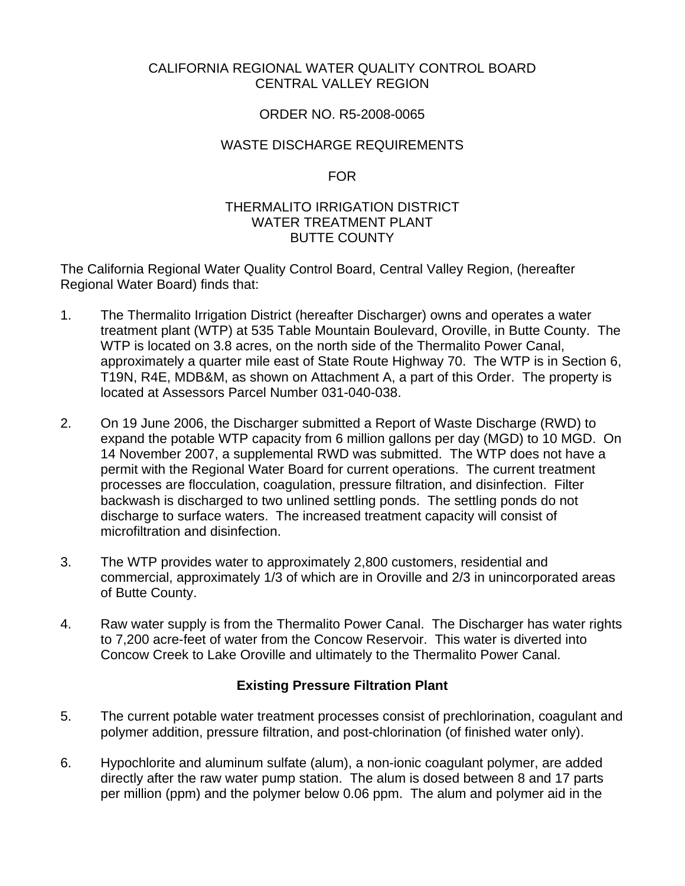# CALIFORNIA REGIONAL WATER QUALITY CONTROL BOARD CENTRAL VALLEY REGION

# ORDER NO. R5-2008-0065

# WASTE DISCHARGE REQUIREMENTS

## FOR

# THERMALITO IRRIGATION DISTRICT WATER TREATMENT PLANT BUTTE COUNTY

The California Regional Water Quality Control Board, Central Valley Region, (hereafter Regional Water Board) finds that:

- 1. The Thermalito Irrigation District (hereafter Discharger) owns and operates a water treatment plant (WTP) at 535 Table Mountain Boulevard, Oroville, in Butte County. The WTP is located on 3.8 acres, on the north side of the Thermalito Power Canal, approximately a quarter mile east of State Route Highway 70. The WTP is in Section 6, T19N, R4E, MDB&M, as shown on Attachment A, a part of this Order. The property is located at Assessors Parcel Number 031-040-038.
- 2. On 19 June 2006, the Discharger submitted a Report of Waste Discharge (RWD) to expand the potable WTP capacity from 6 million gallons per day (MGD) to 10 MGD. On 14 November 2007, a supplemental RWD was submitted. The WTP does not have a permit with the Regional Water Board for current operations. The current treatment processes are flocculation, coagulation, pressure filtration, and disinfection. Filter backwash is discharged to two unlined settling ponds. The settling ponds do not discharge to surface waters. The increased treatment capacity will consist of microfiltration and disinfection.
- 3. The WTP provides water to approximately 2,800 customers, residential and commercial, approximately 1/3 of which are in Oroville and 2/3 in unincorporated areas of Butte County.
- 4. Raw water supply is from the Thermalito Power Canal. The Discharger has water rights to 7,200 acre-feet of water from the Concow Reservoir. This water is diverted into Concow Creek to Lake Oroville and ultimately to the Thermalito Power Canal.

# **Existing Pressure Filtration Plant**

- 5. The current potable water treatment processes consist of prechlorination, coagulant and polymer addition, pressure filtration, and post-chlorination (of finished water only).
- 6. Hypochlorite and aluminum sulfate (alum), a non-ionic coagulant polymer, are added directly after the raw water pump station. The alum is dosed between 8 and 17 parts per million (ppm) and the polymer below 0.06 ppm. The alum and polymer aid in the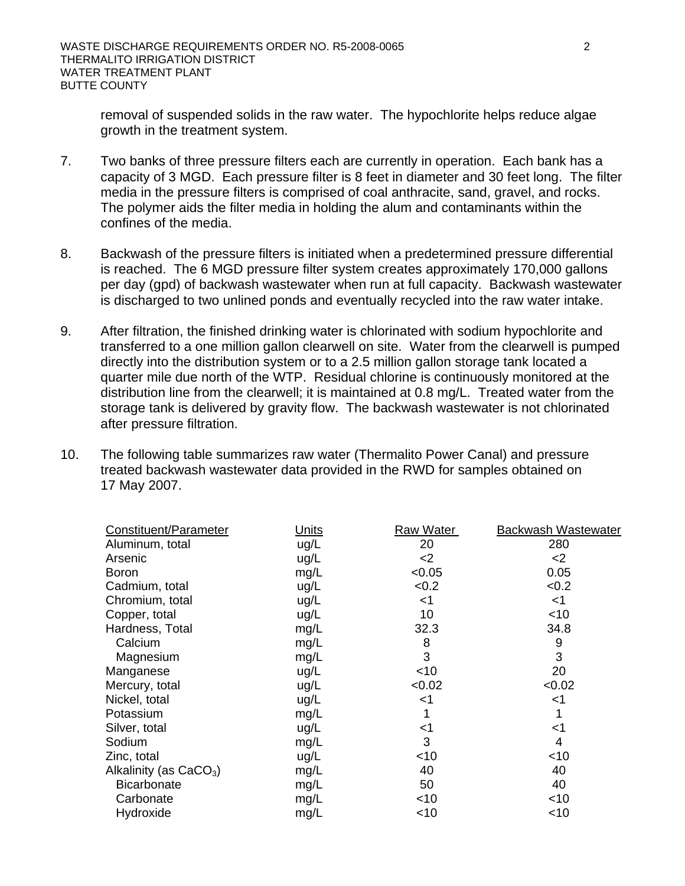removal of suspended solids in the raw water. The hypochlorite helps reduce algae growth in the treatment system.

- 7. Two banks of three pressure filters each are currently in operation. Each bank has a capacity of 3 MGD. Each pressure filter is 8 feet in diameter and 30 feet long. The filter media in the pressure filters is comprised of coal anthracite, sand, gravel, and rocks. The polymer aids the filter media in holding the alum and contaminants within the confines of the media.
- 8. Backwash of the pressure filters is initiated when a predetermined pressure differential is reached. The 6 MGD pressure filter system creates approximately 170,000 gallons per day (gpd) of backwash wastewater when run at full capacity. Backwash wastewater is discharged to two unlined ponds and eventually recycled into the raw water intake.
- 9. After filtration, the finished drinking water is chlorinated with sodium hypochlorite and transferred to a one million gallon clearwell on site. Water from the clearwell is pumped directly into the distribution system or to a 2.5 million gallon storage tank located a quarter mile due north of the WTP. Residual chlorine is continuously monitored at the distribution line from the clearwell; it is maintained at 0.8 mg/L. Treated water from the storage tank is delivered by gravity flow. The backwash wastewater is not chlorinated after pressure filtration.
- 10. The following table summarizes raw water (Thermalito Power Canal) and pressure treated backwash wastewater data provided in the RWD for samples obtained on 17 May 2007.

| Constituent/Parameter    | Units | Raw Water | Backwash Wastewater |
|--------------------------|-------|-----------|---------------------|
| Aluminum, total          | ug/L  | 20        | 280                 |
| Arsenic                  | ug/L  | $<$ 2     | $<$ 2               |
| <b>Boron</b>             | mg/L  | < 0.05    | 0.05                |
| Cadmium, total           | ug/L  | <0.2      | < 0.2               |
| Chromium, total          | ug/L  | <1        | $<$ 1               |
| Copper, total            | ug/L  | 10        | $<$ 10              |
| Hardness, Total          | mg/L  | 32.3      | 34.8                |
| Calcium                  | mg/L  | 8         | 9                   |
| Magnesium                | mg/L  | 3         | 3                   |
| Manganese                | ug/L  | ~10       | 20                  |
| Mercury, total           | ug/L  | < 0.02    | < 0.02              |
| Nickel, total            | ug/L  | $<$ 1     | <1                  |
| Potassium                | mg/L  | 1         |                     |
| Silver, total            | ug/L  | <1        | <1                  |
| Sodium                   | mg/L  | 3         | 4                   |
| Zinc, total              | ug/L  | ~10       | $<$ 10              |
| Alkalinity (as $CaCO3$ ) | mg/L  | 40        | 40                  |
| <b>Bicarbonate</b>       | mg/L  | 50        | 40                  |
| Carbonate                | mg/L  | $<$ 10    | $<$ 10              |
| Hydroxide                | mg/L  | <10       | <10                 |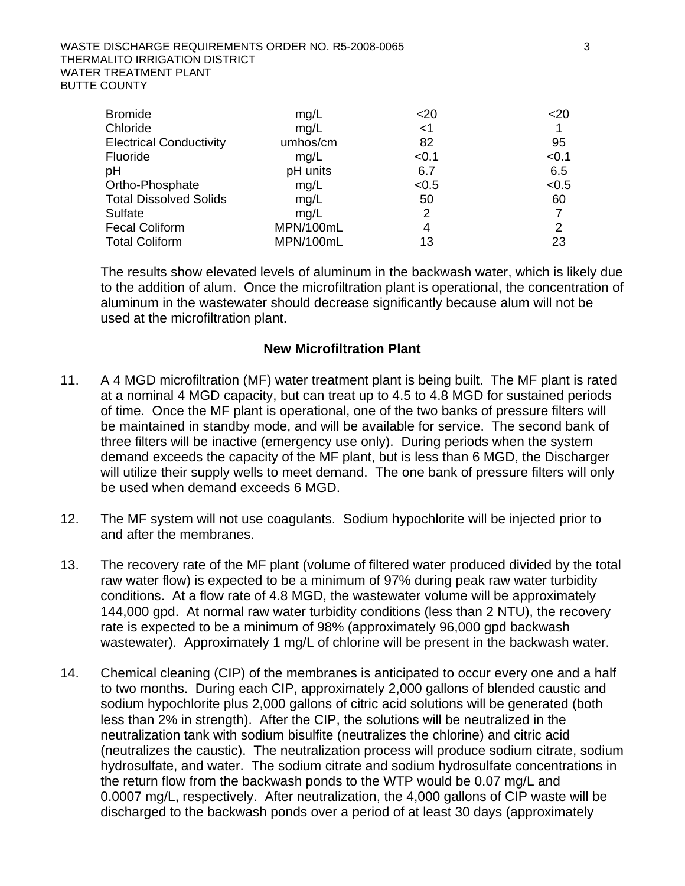| <b>Bromide</b>                 | mg/L      | $20$  | $20$  |
|--------------------------------|-----------|-------|-------|
| Chloride                       | mg/L      | $<$ 1 |       |
| <b>Electrical Conductivity</b> | umhos/cm  | 82    | 95    |
| Fluoride                       | mg/L      | < 0.1 | < 0.1 |
| рH                             | pH units  | 6.7   | 6.5   |
| Ortho-Phosphate                | mg/L      | < 0.5 | < 0.5 |
| <b>Total Dissolved Solids</b>  | mg/L      | 50    | 60    |
| <b>Sulfate</b>                 | mq/L      | 2     |       |
| <b>Fecal Coliform</b>          | MPN/100mL | 4     | 2     |
| <b>Total Coliform</b>          | MPN/100mL | 13    | 23    |

The results show elevated levels of aluminum in the backwash water, which is likely due to the addition of alum. Once the microfiltration plant is operational, the concentration of aluminum in the wastewater should decrease significantly because alum will not be used at the microfiltration plant.

### **New Microfiltration Plant**

- 11. A 4 MGD microfiltration (MF) water treatment plant is being built. The MF plant is rated at a nominal 4 MGD capacity, but can treat up to 4.5 to 4.8 MGD for sustained periods of time. Once the MF plant is operational, one of the two banks of pressure filters will be maintained in standby mode, and will be available for service. The second bank of three filters will be inactive (emergency use only). During periods when the system demand exceeds the capacity of the MF plant, but is less than 6 MGD, the Discharger will utilize their supply wells to meet demand. The one bank of pressure filters will only be used when demand exceeds 6 MGD.
- 12. The MF system will not use coagulants. Sodium hypochlorite will be injected prior to and after the membranes.
- 13. The recovery rate of the MF plant (volume of filtered water produced divided by the total raw water flow) is expected to be a minimum of 97% during peak raw water turbidity conditions. At a flow rate of 4.8 MGD, the wastewater volume will be approximately 144,000 gpd. At normal raw water turbidity conditions (less than 2 NTU), the recovery rate is expected to be a minimum of 98% (approximately 96,000 gpd backwash wastewater). Approximately 1 mg/L of chlorine will be present in the backwash water.
- 14. Chemical cleaning (CIP) of the membranes is anticipated to occur every one and a half to two months. During each CIP, approximately 2,000 gallons of blended caustic and sodium hypochlorite plus 2,000 gallons of citric acid solutions will be generated (both less than 2% in strength). After the CIP, the solutions will be neutralized in the neutralization tank with sodium bisulfite (neutralizes the chlorine) and citric acid (neutralizes the caustic). The neutralization process will produce sodium citrate, sodium hydrosulfate, and water. The sodium citrate and sodium hydrosulfate concentrations in the return flow from the backwash ponds to the WTP would be 0.07 mg/L and 0.0007 mg/L, respectively. After neutralization, the 4,000 gallons of CIP waste will be discharged to the backwash ponds over a period of at least 30 days (approximately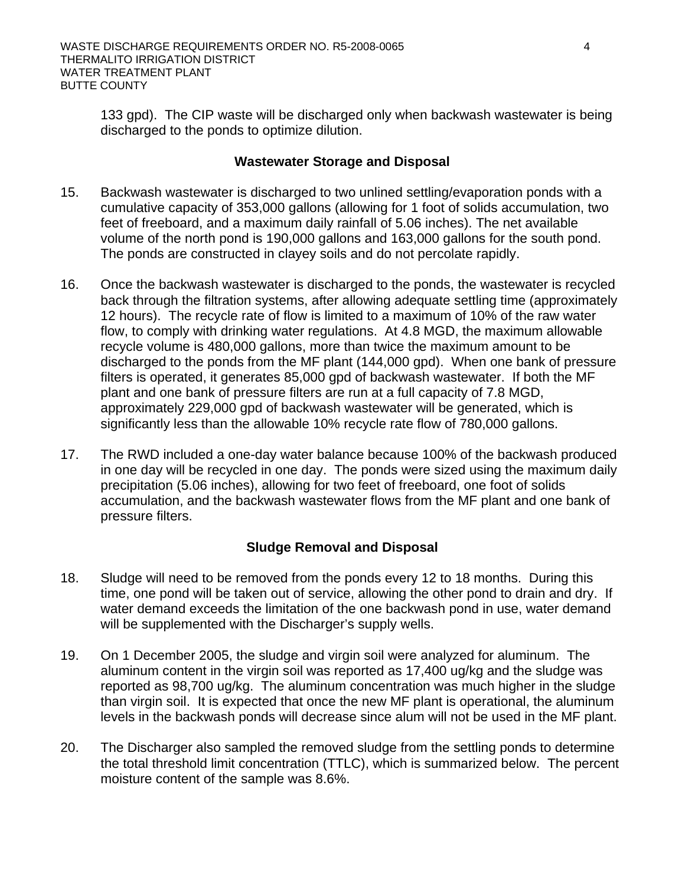133 gpd). The CIP waste will be discharged only when backwash wastewater is being discharged to the ponds to optimize dilution.

## **Wastewater Storage and Disposal**

- 15. Backwash wastewater is discharged to two unlined settling/evaporation ponds with a cumulative capacity of 353,000 gallons (allowing for 1 foot of solids accumulation, two feet of freeboard, and a maximum daily rainfall of 5.06 inches). The net available volume of the north pond is 190,000 gallons and 163,000 gallons for the south pond. The ponds are constructed in clayey soils and do not percolate rapidly.
- 16. Once the backwash wastewater is discharged to the ponds, the wastewater is recycled back through the filtration systems, after allowing adequate settling time (approximately 12 hours). The recycle rate of flow is limited to a maximum of 10% of the raw water flow, to comply with drinking water regulations. At 4.8 MGD, the maximum allowable recycle volume is 480,000 gallons, more than twice the maximum amount to be discharged to the ponds from the MF plant (144,000 gpd). When one bank of pressure filters is operated, it generates 85,000 gpd of backwash wastewater. If both the MF plant and one bank of pressure filters are run at a full capacity of 7.8 MGD, approximately 229,000 gpd of backwash wastewater will be generated, which is significantly less than the allowable 10% recycle rate flow of 780,000 gallons.
- 17. The RWD included a one-day water balance because 100% of the backwash produced in one day will be recycled in one day. The ponds were sized using the maximum daily precipitation (5.06 inches), allowing for two feet of freeboard, one foot of solids accumulation, and the backwash wastewater flows from the MF plant and one bank of pressure filters.

# **Sludge Removal and Disposal**

- 18. Sludge will need to be removed from the ponds every 12 to 18 months. During this time, one pond will be taken out of service, allowing the other pond to drain and dry. If water demand exceeds the limitation of the one backwash pond in use, water demand will be supplemented with the Discharger's supply wells.
- 19. On 1 December 2005, the sludge and virgin soil were analyzed for aluminum. The aluminum content in the virgin soil was reported as 17,400 ug/kg and the sludge was reported as 98,700 ug/kg. The aluminum concentration was much higher in the sludge than virgin soil. It is expected that once the new MF plant is operational, the aluminum levels in the backwash ponds will decrease since alum will not be used in the MF plant.
- 20. The Discharger also sampled the removed sludge from the settling ponds to determine the total threshold limit concentration (TTLC), which is summarized below. The percent moisture content of the sample was 8.6%.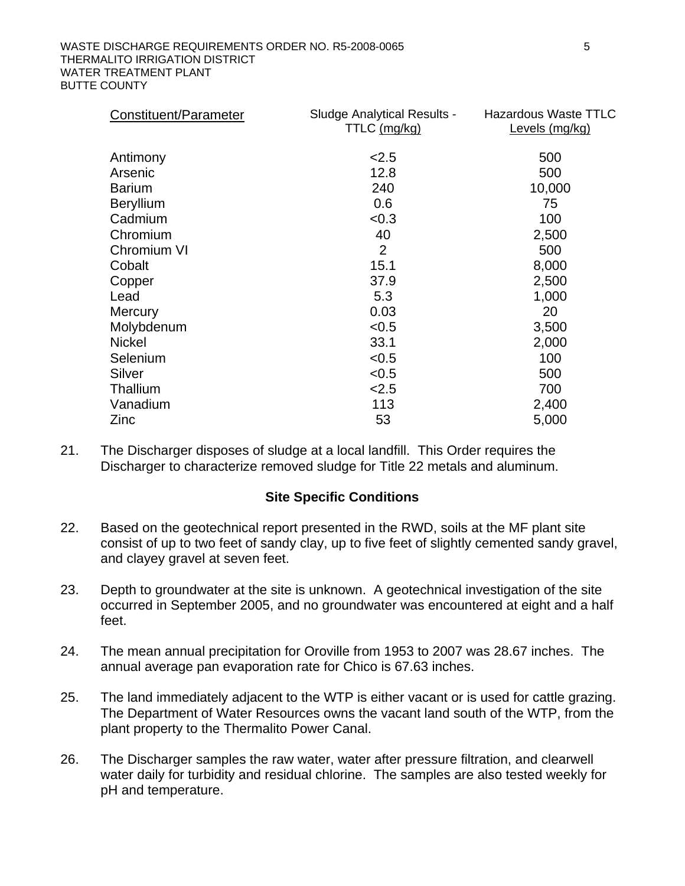| Constituent/Parameter | <b>Sludge Analytical Results -</b><br>TTLC (mg/kg) | <b>Hazardous Waste TTLC</b><br>Levels (mg/kg) |
|-----------------------|----------------------------------------------------|-----------------------------------------------|
| Antimony              | 2.5                                                | 500                                           |
| Arsenic               | 12.8                                               | 500                                           |
| <b>Barium</b>         | 240                                                | 10,000                                        |
| <b>Beryllium</b>      | 0.6                                                | 75                                            |
| Cadmium               | < 0.3                                              | 100                                           |
| Chromium              | 40                                                 | 2,500                                         |
| Chromium VI           | 2                                                  | 500                                           |
| Cobalt                | 15.1                                               | 8,000                                         |
| Copper                | 37.9                                               | 2,500                                         |
| Lead                  | 5.3                                                | 1,000                                         |
| <b>Mercury</b>        | 0.03                                               | 20                                            |
| Molybdenum            | < 0.5                                              | 3,500                                         |
| <b>Nickel</b>         | 33.1                                               | 2,000                                         |
| Selenium              | < 0.5                                              | 100                                           |
| Silver                | < 0.5                                              | 500                                           |
| Thallium              | 2.5                                                | 700                                           |
| Vanadium              | 113                                                | 2,400                                         |
| Zinc                  | 53                                                 | 5,000                                         |

21. The Discharger disposes of sludge at a local landfill. This Order requires the Discharger to characterize removed sludge for Title 22 metals and aluminum.

### **Site Specific Conditions**

- 22. Based on the geotechnical report presented in the RWD, soils at the MF plant site consist of up to two feet of sandy clay, up to five feet of slightly cemented sandy gravel, and clayey gravel at seven feet.
- 23. Depth to groundwater at the site is unknown. A geotechnical investigation of the site occurred in September 2005, and no groundwater was encountered at eight and a half feet.
- 24. The mean annual precipitation for Oroville from 1953 to 2007 was 28.67 inches. The annual average pan evaporation rate for Chico is 67.63 inches.
- 25. The land immediately adjacent to the WTP is either vacant or is used for cattle grazing. The Department of Water Resources owns the vacant land south of the WTP, from the plant property to the Thermalito Power Canal.
- 26. The Discharger samples the raw water, water after pressure filtration, and clearwell water daily for turbidity and residual chlorine. The samples are also tested weekly for pH and temperature.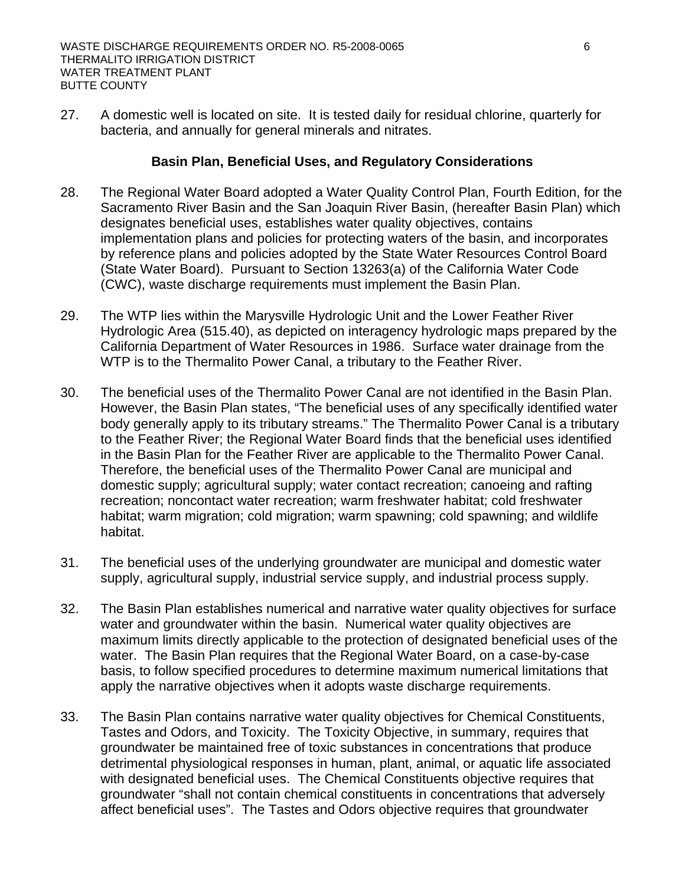27. A domestic well is located on site. It is tested daily for residual chlorine, quarterly for bacteria, and annually for general minerals and nitrates.

# **Basin Plan, Beneficial Uses, and Regulatory Considerations**

- 28. The Regional Water Board adopted a Water Quality Control Plan, Fourth Edition, for the Sacramento River Basin and the San Joaquin River Basin, (hereafter Basin Plan) which designates beneficial uses, establishes water quality objectives, contains implementation plans and policies for protecting waters of the basin, and incorporates by reference plans and policies adopted by the State Water Resources Control Board (State Water Board). Pursuant to Section 13263(a) of the California Water Code (CWC), waste discharge requirements must implement the Basin Plan.
- 29. The WTP lies within the Marysville Hydrologic Unit and the Lower Feather River Hydrologic Area (515.40), as depicted on interagency hydrologic maps prepared by the California Department of Water Resources in 1986. Surface water drainage from the WTP is to the Thermalito Power Canal, a tributary to the Feather River.
- 30. The beneficial uses of the Thermalito Power Canal are not identified in the Basin Plan. However, the Basin Plan states, "The beneficial uses of any specifically identified water body generally apply to its tributary streams." The Thermalito Power Canal is a tributary to the Feather River; the Regional Water Board finds that the beneficial uses identified in the Basin Plan for the Feather River are applicable to the Thermalito Power Canal. Therefore, the beneficial uses of the Thermalito Power Canal are municipal and domestic supply; agricultural supply; water contact recreation; canoeing and rafting recreation; noncontact water recreation; warm freshwater habitat; cold freshwater habitat; warm migration; cold migration; warm spawning; cold spawning; and wildlife habitat.
- 31. The beneficial uses of the underlying groundwater are municipal and domestic water supply, agricultural supply, industrial service supply, and industrial process supply.
- 32. The Basin Plan establishes numerical and narrative water quality objectives for surface water and groundwater within the basin. Numerical water quality objectives are maximum limits directly applicable to the protection of designated beneficial uses of the water. The Basin Plan requires that the Regional Water Board, on a case-by-case basis, to follow specified procedures to determine maximum numerical limitations that apply the narrative objectives when it adopts waste discharge requirements.
- 33. The Basin Plan contains narrative water quality objectives for Chemical Constituents, Tastes and Odors, and Toxicity. The Toxicity Objective, in summary, requires that groundwater be maintained free of toxic substances in concentrations that produce detrimental physiological responses in human, plant, animal, or aquatic life associated with designated beneficial uses. The Chemical Constituents objective requires that groundwater "shall not contain chemical constituents in concentrations that adversely affect beneficial uses". The Tastes and Odors objective requires that groundwater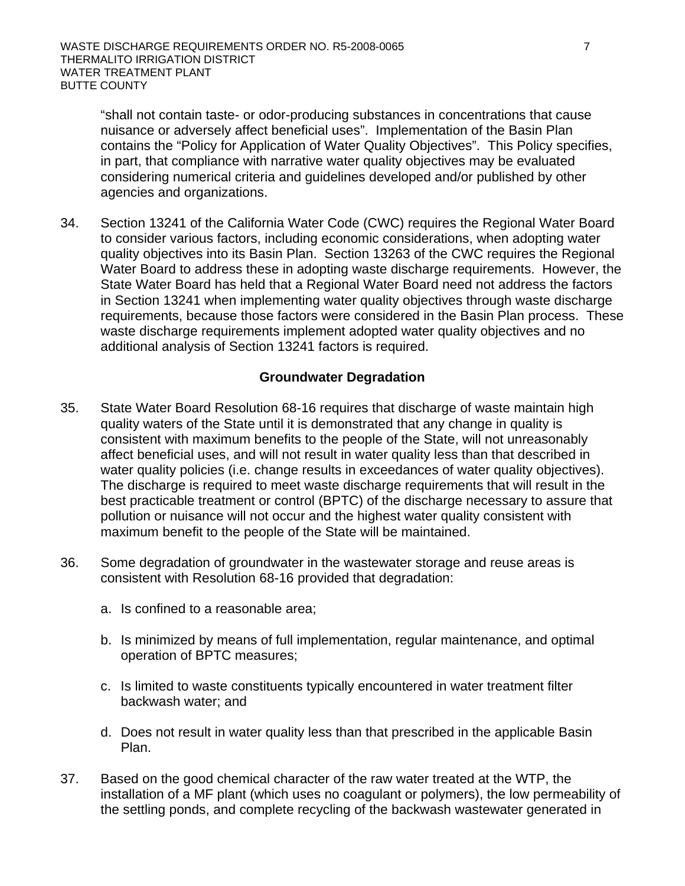"shall not contain taste- or odor-producing substances in concentrations that cause nuisance or adversely affect beneficial uses". Implementation of the Basin Plan contains the "Policy for Application of Water Quality Objectives". This Policy specifies, in part, that compliance with narrative water quality objectives may be evaluated considering numerical criteria and guidelines developed and/or published by other agencies and organizations.

34. Section 13241 of the California Water Code (CWC) requires the Regional Water Board to consider various factors, including economic considerations, when adopting water quality objectives into its Basin Plan. Section 13263 of the CWC requires the Regional Water Board to address these in adopting waste discharge requirements. However, the State Water Board has held that a Regional Water Board need not address the factors in Section 13241 when implementing water quality objectives through waste discharge requirements, because those factors were considered in the Basin Plan process. These waste discharge requirements implement adopted water quality objectives and no additional analysis of Section 13241 factors is required.

# **Groundwater Degradation**

- 35. State Water Board Resolution 68-16 requires that discharge of waste maintain high quality waters of the State until it is demonstrated that any change in quality is consistent with maximum benefits to the people of the State, will not unreasonably affect beneficial uses, and will not result in water quality less than that described in water quality policies (i.e. change results in exceedances of water quality objectives). The discharge is required to meet waste discharge requirements that will result in the best practicable treatment or control (BPTC) of the discharge necessary to assure that pollution or nuisance will not occur and the highest water quality consistent with maximum benefit to the people of the State will be maintained.
- 36. Some degradation of groundwater in the wastewater storage and reuse areas is consistent with Resolution 68-16 provided that degradation:
	- a. Is confined to a reasonable area;
	- b. Is minimized by means of full implementation, regular maintenance, and optimal operation of BPTC measures;
	- c. Is limited to waste constituents typically encountered in water treatment filter backwash water; and
	- d. Does not result in water quality less than that prescribed in the applicable Basin Plan.
- 37. Based on the good chemical character of the raw water treated at the WTP, the installation of a MF plant (which uses no coagulant or polymers), the low permeability of the settling ponds, and complete recycling of the backwash wastewater generated in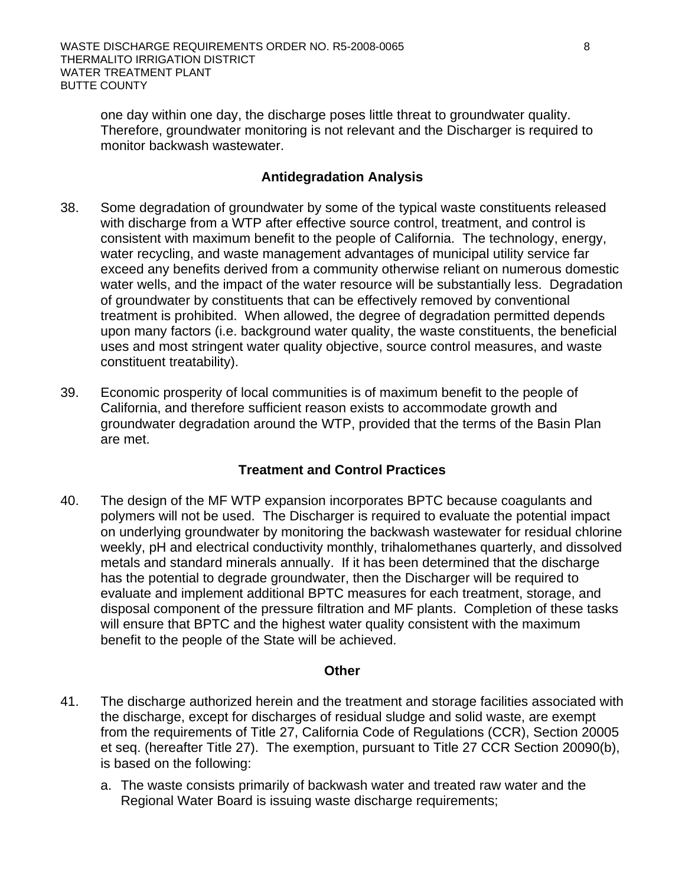one day within one day, the discharge poses little threat to groundwater quality. Therefore, groundwater monitoring is not relevant and the Discharger is required to monitor backwash wastewater.

# **Antidegradation Analysis**

- 38. Some degradation of groundwater by some of the typical waste constituents released with discharge from a WTP after effective source control, treatment, and control is consistent with maximum benefit to the people of California. The technology, energy, water recycling, and waste management advantages of municipal utility service far exceed any benefits derived from a community otherwise reliant on numerous domestic water wells, and the impact of the water resource will be substantially less. Degradation of groundwater by constituents that can be effectively removed by conventional treatment is prohibited. When allowed, the degree of degradation permitted depends upon many factors (i.e. background water quality, the waste constituents, the beneficial uses and most stringent water quality objective, source control measures, and waste constituent treatability).
- 39. Economic prosperity of local communities is of maximum benefit to the people of California, and therefore sufficient reason exists to accommodate growth and groundwater degradation around the WTP, provided that the terms of the Basin Plan are met.

# **Treatment and Control Practices**

40. The design of the MF WTP expansion incorporates BPTC because coagulants and polymers will not be used. The Discharger is required to evaluate the potential impact on underlying groundwater by monitoring the backwash wastewater for residual chlorine weekly, pH and electrical conductivity monthly, trihalomethanes quarterly, and dissolved metals and standard minerals annually. If it has been determined that the discharge has the potential to degrade groundwater, then the Discharger will be required to evaluate and implement additional BPTC measures for each treatment, storage, and disposal component of the pressure filtration and MF plants. Completion of these tasks will ensure that BPTC and the highest water quality consistent with the maximum benefit to the people of the State will be achieved.

### **Other**

- 41. The discharge authorized herein and the treatment and storage facilities associated with the discharge, except for discharges of residual sludge and solid waste, are exempt from the requirements of Title 27, California Code of Regulations (CCR), Section 20005 et seq. (hereafter Title 27). The exemption, pursuant to Title 27 CCR Section 20090(b), is based on the following:
	- a. The waste consists primarily of backwash water and treated raw water and the Regional Water Board is issuing waste discharge requirements;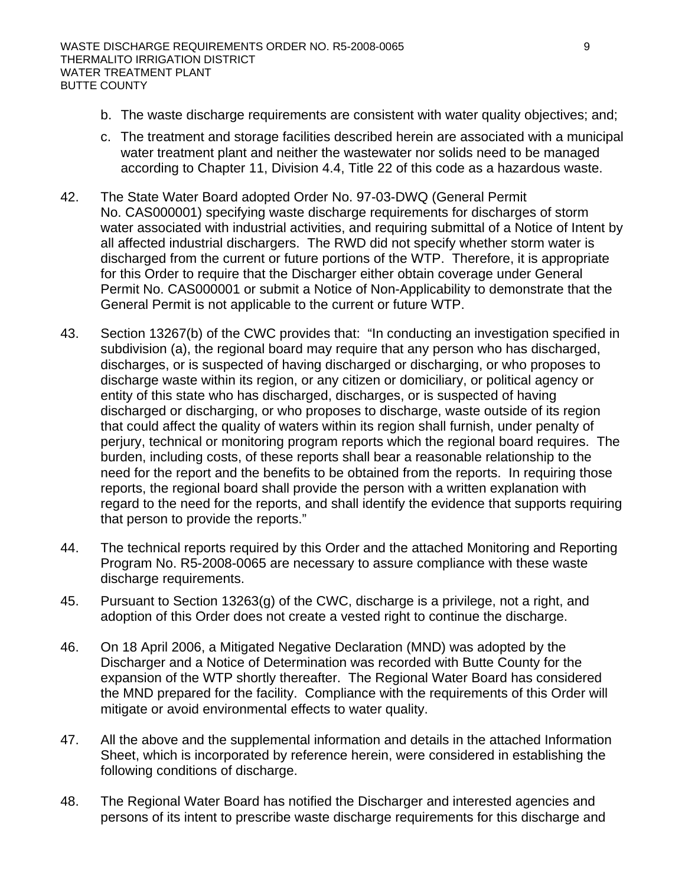- b. The waste discharge requirements are consistent with water quality objectives; and;
- c. The treatment and storage facilities described herein are associated with a municipal water treatment plant and neither the wastewater nor solids need to be managed according to Chapter 11, Division 4.4, Title 22 of this code as a hazardous waste.
- 42. The State Water Board adopted Order No. 97-03-DWQ (General Permit No. CAS000001) specifying waste discharge requirements for discharges of storm water associated with industrial activities, and requiring submittal of a Notice of Intent by all affected industrial dischargers. The RWD did not specify whether storm water is discharged from the current or future portions of the WTP. Therefore, it is appropriate for this Order to require that the Discharger either obtain coverage under General Permit No. CAS000001 or submit a Notice of Non-Applicability to demonstrate that the General Permit is not applicable to the current or future WTP.
- 43. Section 13267(b) of the CWC provides that: "In conducting an investigation specified in subdivision (a), the regional board may require that any person who has discharged, discharges, or is suspected of having discharged or discharging, or who proposes to discharge waste within its region, or any citizen or domiciliary, or political agency or entity of this state who has discharged, discharges, or is suspected of having discharged or discharging, or who proposes to discharge, waste outside of its region that could affect the quality of waters within its region shall furnish, under penalty of perjury, technical or monitoring program reports which the regional board requires. The burden, including costs, of these reports shall bear a reasonable relationship to the need for the report and the benefits to be obtained from the reports. In requiring those reports, the regional board shall provide the person with a written explanation with regard to the need for the reports, and shall identify the evidence that supports requiring that person to provide the reports."
- 44. The technical reports required by this Order and the attached Monitoring and Reporting Program No. R5-2008-0065 are necessary to assure compliance with these waste discharge requirements.
- 45. Pursuant to Section 13263(g) of the CWC, discharge is a privilege, not a right, and adoption of this Order does not create a vested right to continue the discharge.
- 46. On 18 April 2006, a Mitigated Negative Declaration (MND) was adopted by the Discharger and a Notice of Determination was recorded with Butte County for the expansion of the WTP shortly thereafter. The Regional Water Board has considered the MND prepared for the facility. Compliance with the requirements of this Order will mitigate or avoid environmental effects to water quality.
- 47. All the above and the supplemental information and details in the attached Information Sheet, which is incorporated by reference herein, were considered in establishing the following conditions of discharge.
- 48. The Regional Water Board has notified the Discharger and interested agencies and persons of its intent to prescribe waste discharge requirements for this discharge and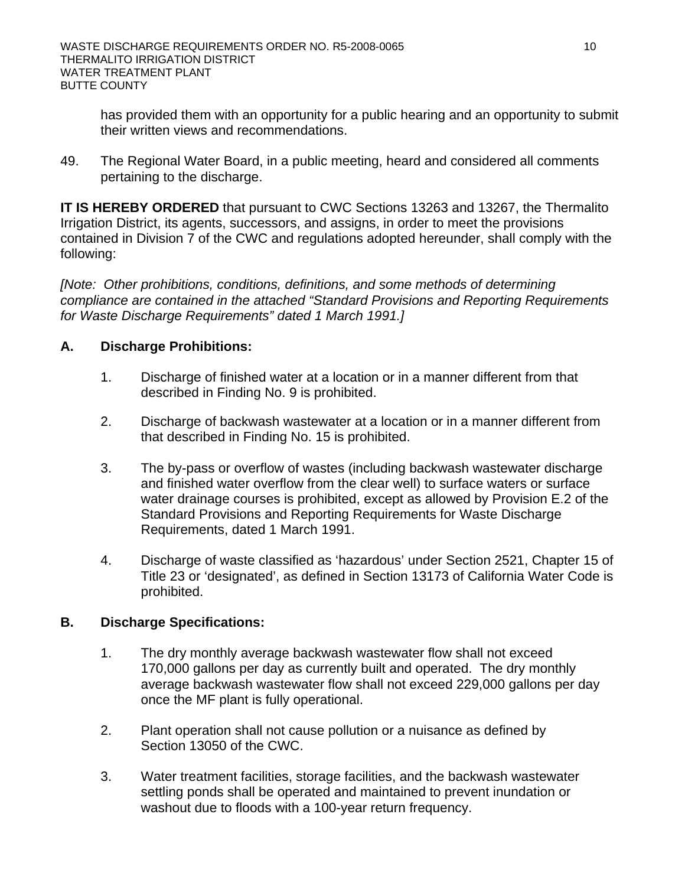has provided them with an opportunity for a public hearing and an opportunity to submit their written views and recommendations.

49. The Regional Water Board, in a public meeting, heard and considered all comments pertaining to the discharge.

**IT IS HEREBY ORDERED** that pursuant to CWC Sections 13263 and 13267, the Thermalito Irrigation District, its agents, successors, and assigns, in order to meet the provisions contained in Division 7 of the CWC and regulations adopted hereunder, shall comply with the following:

*[Note: Other prohibitions, conditions, definitions, and some methods of determining compliance are contained in the attached "Standard Provisions and Reporting Requirements for Waste Discharge Requirements" dated 1 March 1991.]* 

# **A. Discharge Prohibitions:**

- 1. Discharge of finished water at a location or in a manner different from that described in Finding No. 9 is prohibited.
- 2. Discharge of backwash wastewater at a location or in a manner different from that described in Finding No. 15 is prohibited.
- 3. The by-pass or overflow of wastes (including backwash wastewater discharge and finished water overflow from the clear well) to surface waters or surface water drainage courses is prohibited, except as allowed by Provision E.2 of the Standard Provisions and Reporting Requirements for Waste Discharge Requirements, dated 1 March 1991.
- 4. Discharge of waste classified as 'hazardous' under Section 2521, Chapter 15 of Title 23 or 'designated', as defined in Section 13173 of California Water Code is prohibited.

# **B. Discharge Specifications:**

- 1. The dry monthly average backwash wastewater flow shall not exceed 170,000 gallons per day as currently built and operated. The dry monthly average backwash wastewater flow shall not exceed 229,000 gallons per day once the MF plant is fully operational.
- 2. Plant operation shall not cause pollution or a nuisance as defined by Section 13050 of the CWC.
- 3. Water treatment facilities, storage facilities, and the backwash wastewater settling ponds shall be operated and maintained to prevent inundation or washout due to floods with a 100-year return frequency.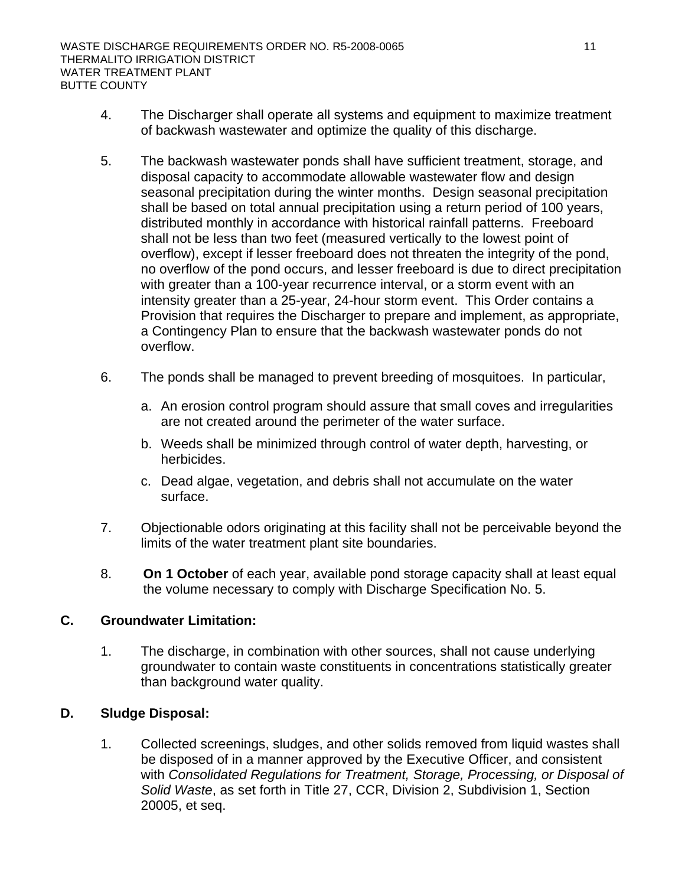- 4. The Discharger shall operate all systems and equipment to maximize treatment of backwash wastewater and optimize the quality of this discharge.
- 5. The backwash wastewater ponds shall have sufficient treatment, storage, and disposal capacity to accommodate allowable wastewater flow and design seasonal precipitation during the winter months. Design seasonal precipitation shall be based on total annual precipitation using a return period of 100 years, distributed monthly in accordance with historical rainfall patterns. Freeboard shall not be less than two feet (measured vertically to the lowest point of overflow), except if lesser freeboard does not threaten the integrity of the pond, no overflow of the pond occurs, and lesser freeboard is due to direct precipitation with greater than a 100-year recurrence interval, or a storm event with an intensity greater than a 25-year, 24-hour storm event. This Order contains a Provision that requires the Discharger to prepare and implement, as appropriate, a Contingency Plan to ensure that the backwash wastewater ponds do not overflow.
- 6. The ponds shall be managed to prevent breeding of mosquitoes. In particular,
	- a. An erosion control program should assure that small coves and irregularities are not created around the perimeter of the water surface.
	- b. Weeds shall be minimized through control of water depth, harvesting, or herbicides.
	- c. Dead algae, vegetation, and debris shall not accumulate on the water surface.
- 7. Objectionable odors originating at this facility shall not be perceivable beyond the limits of the water treatment plant site boundaries.
- 8. **On 1 October** of each year, available pond storage capacity shall at least equal the volume necessary to comply with Discharge Specification No. 5.

### **C. Groundwater Limitation:**

1. The discharge, in combination with other sources, shall not cause underlying groundwater to contain waste constituents in concentrations statistically greater than background water quality.

### **D. Sludge Disposal:**

1. Collected screenings, sludges, and other solids removed from liquid wastes shall be disposed of in a manner approved by the Executive Officer, and consistent with *Consolidated Regulations for Treatment, Storage, Processing, or Disposal of Solid Waste*, as set forth in Title 27, CCR, Division 2, Subdivision 1, Section 20005, et seq.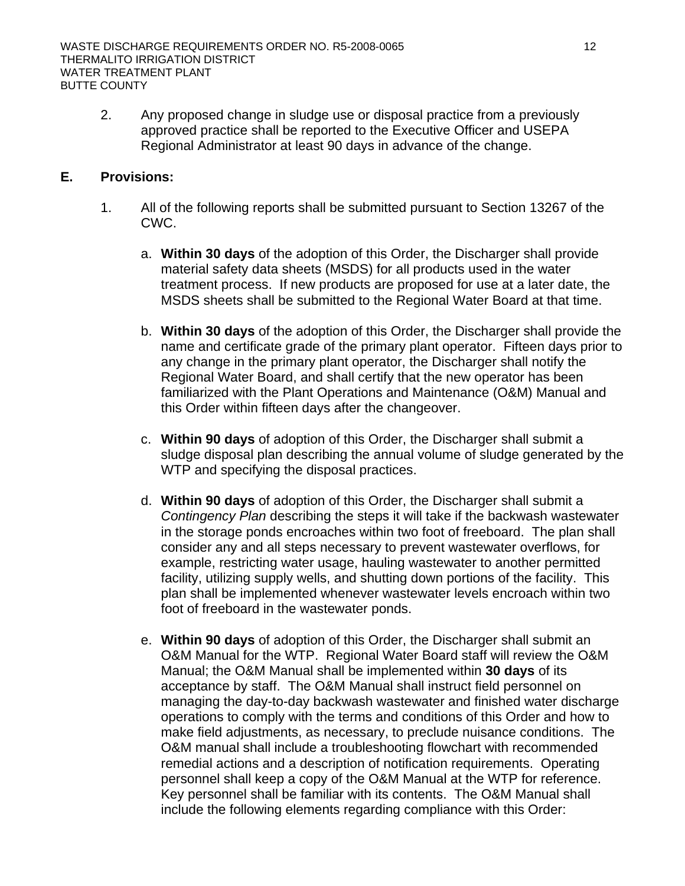2. Any proposed change in sludge use or disposal practice from a previously approved practice shall be reported to the Executive Officer and USEPA Regional Administrator at least 90 days in advance of the change.

# **E. Provisions:**

- 1. All of the following reports shall be submitted pursuant to Section 13267 of the CWC.
	- a. **Within 30 days** of the adoption of this Order, the Discharger shall provide material safety data sheets (MSDS) for all products used in the water treatment process. If new products are proposed for use at a later date, the MSDS sheets shall be submitted to the Regional Water Board at that time.
	- b. **Within 30 days** of the adoption of this Order, the Discharger shall provide the name and certificate grade of the primary plant operator. Fifteen days prior to any change in the primary plant operator, the Discharger shall notify the Regional Water Board, and shall certify that the new operator has been familiarized with the Plant Operations and Maintenance (O&M) Manual and this Order within fifteen days after the changeover.
	- c. **Within 90 days** of adoption of this Order, the Discharger shall submit a sludge disposal plan describing the annual volume of sludge generated by the WTP and specifying the disposal practices.
	- d. **Within 90 days** of adoption of this Order, the Discharger shall submit a *Contingency Plan* describing the steps it will take if the backwash wastewater in the storage ponds encroaches within two foot of freeboard. The plan shall consider any and all steps necessary to prevent wastewater overflows, for example, restricting water usage, hauling wastewater to another permitted facility, utilizing supply wells, and shutting down portions of the facility. This plan shall be implemented whenever wastewater levels encroach within two foot of freeboard in the wastewater ponds.
	- e. **Within 90 days** of adoption of this Order, the Discharger shall submit an O&M Manual for the WTP. Regional Water Board staff will review the O&M Manual; the O&M Manual shall be implemented within **30 days** of its acceptance by staff. The O&M Manual shall instruct field personnel on managing the day-to-day backwash wastewater and finished water discharge operations to comply with the terms and conditions of this Order and how to make field adjustments, as necessary, to preclude nuisance conditions. The O&M manual shall include a troubleshooting flowchart with recommended remedial actions and a description of notification requirements. Operating personnel shall keep a copy of the O&M Manual at the WTP for reference. Key personnel shall be familiar with its contents. The O&M Manual shall include the following elements regarding compliance with this Order: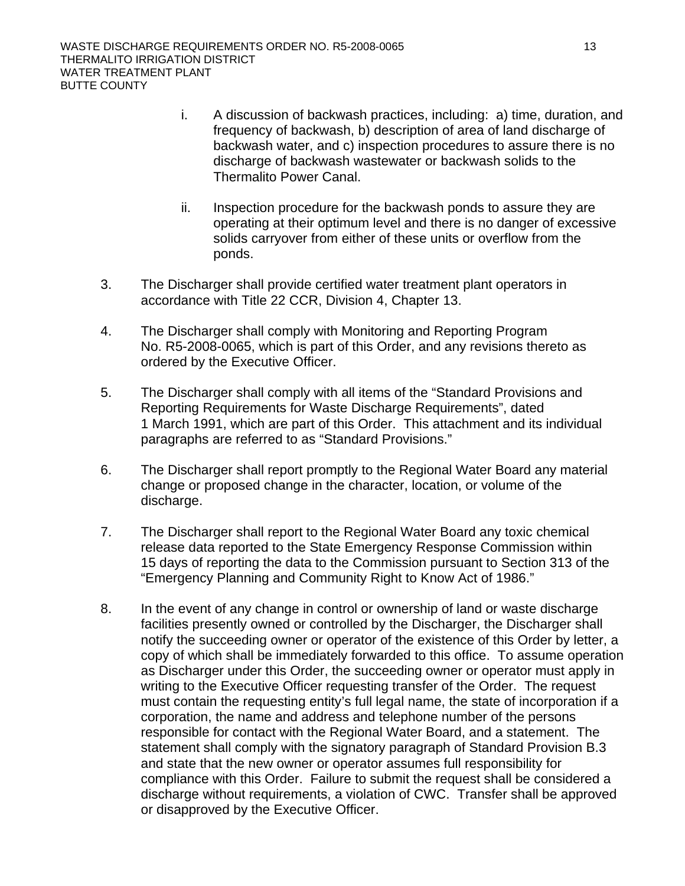- i. A discussion of backwash practices, including: a) time, duration, and frequency of backwash, b) description of area of land discharge of backwash water, and c) inspection procedures to assure there is no discharge of backwash wastewater or backwash solids to the Thermalito Power Canal.
- ii. Inspection procedure for the backwash ponds to assure they are operating at their optimum level and there is no danger of excessive solids carryover from either of these units or overflow from the ponds.
- 3. The Discharger shall provide certified water treatment plant operators in accordance with Title 22 CCR, Division 4, Chapter 13.
- 4. The Discharger shall comply with Monitoring and Reporting Program No. R5-2008-0065, which is part of this Order, and any revisions thereto as ordered by the Executive Officer.
- 5. The Discharger shall comply with all items of the "Standard Provisions and Reporting Requirements for Waste Discharge Requirements", dated 1 March 1991, which are part of this Order. This attachment and its individual paragraphs are referred to as "Standard Provisions."
- 6. The Discharger shall report promptly to the Regional Water Board any material change or proposed change in the character, location, or volume of the discharge.
- 7. The Discharger shall report to the Regional Water Board any toxic chemical release data reported to the State Emergency Response Commission within 15 days of reporting the data to the Commission pursuant to Section 313 of the "Emergency Planning and Community Right to Know Act of 1986."
- 8. In the event of any change in control or ownership of land or waste discharge facilities presently owned or controlled by the Discharger, the Discharger shall notify the succeeding owner or operator of the existence of this Order by letter, a copy of which shall be immediately forwarded to this office. To assume operation as Discharger under this Order, the succeeding owner or operator must apply in writing to the Executive Officer requesting transfer of the Order. The request must contain the requesting entity's full legal name, the state of incorporation if a corporation, the name and address and telephone number of the persons responsible for contact with the Regional Water Board, and a statement. The statement shall comply with the signatory paragraph of Standard Provision B.3 and state that the new owner or operator assumes full responsibility for compliance with this Order. Failure to submit the request shall be considered a discharge without requirements, a violation of CWC. Transfer shall be approved or disapproved by the Executive Officer.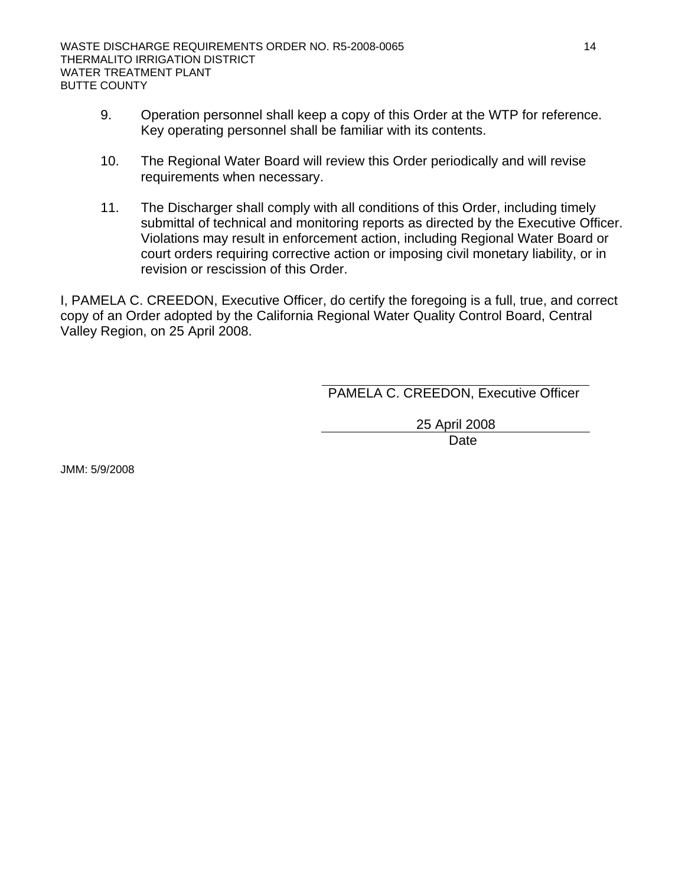- 9. Operation personnel shall keep a copy of this Order at the WTP for reference. Key operating personnel shall be familiar with its contents.
- 10. The Regional Water Board will review this Order periodically and will revise requirements when necessary.
- 11. The Discharger shall comply with all conditions of this Order, including timely submittal of technical and monitoring reports as directed by the Executive Officer. Violations may result in enforcement action, including Regional Water Board or court orders requiring corrective action or imposing civil monetary liability, or in revision or rescission of this Order.

I, PAMELA C. CREEDON, Executive Officer, do certify the foregoing is a full, true, and correct copy of an Order adopted by the California Regional Water Quality Control Board, Central Valley Region, on 25 April 2008.

PAMELA C. CREEDON, Executive Officer

25 April 2008

**Date Date Date** 

JMM: 5/9/2008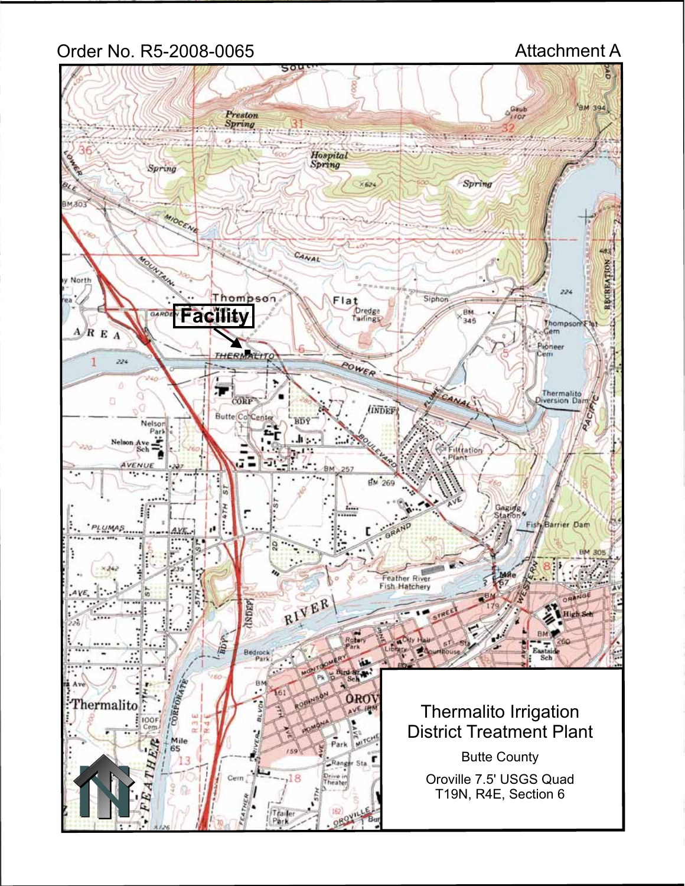# Order No. R5-2008-0065 Attachment A

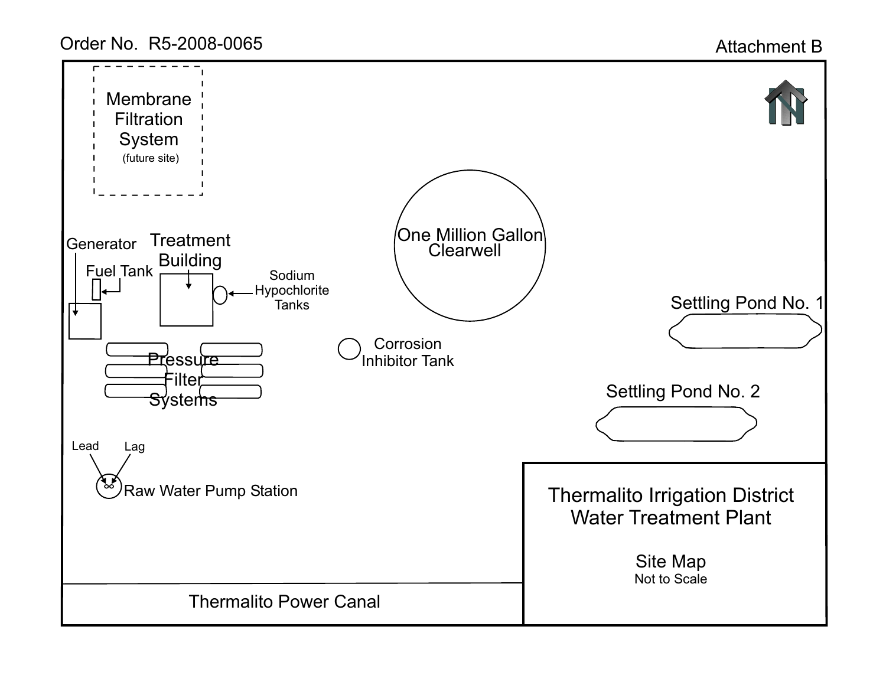Order No. R5-2008-0065

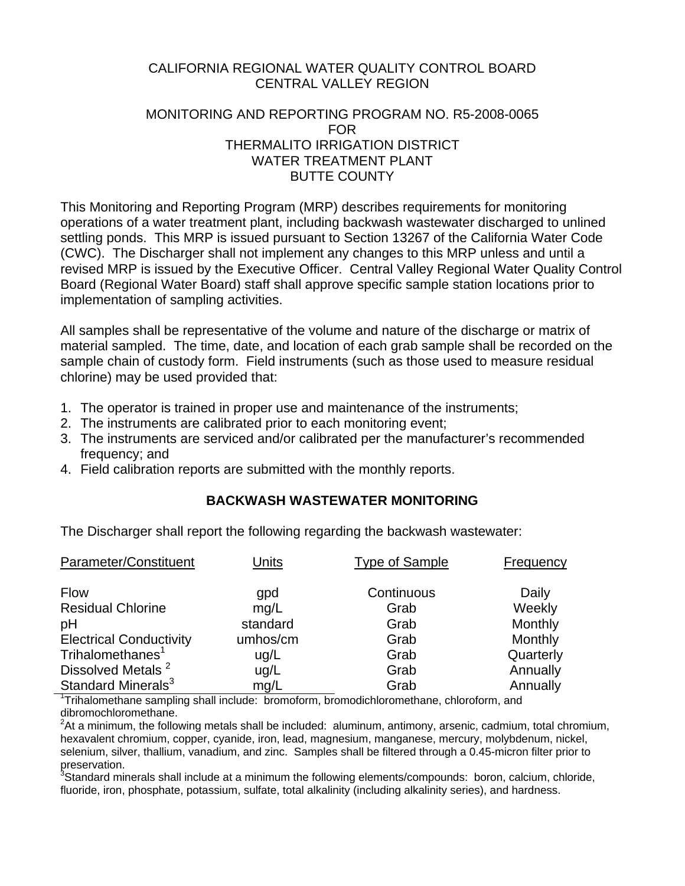# CALIFORNIA REGIONAL WATER QUALITY CONTROL BOARD CENTRAL VALLEY REGION

# MONITORING AND REPORTING PROGRAM NO. R5-2008-0065 FOR THERMALITO IRRIGATION DISTRICT WATER TREATMENT PLANT BUTTE COUNTY

This Monitoring and Reporting Program (MRP) describes requirements for monitoring operations of a water treatment plant, including backwash wastewater discharged to unlined settling ponds. This MRP is issued pursuant to Section 13267 of the California Water Code (CWC). The Discharger shall not implement any changes to this MRP unless and until a revised MRP is issued by the Executive Officer. Central Valley Regional Water Quality Control Board (Regional Water Board) staff shall approve specific sample station locations prior to implementation of sampling activities.

All samples shall be representative of the volume and nature of the discharge or matrix of material sampled. The time, date, and location of each grab sample shall be recorded on the sample chain of custody form. Field instruments (such as those used to measure residual chlorine) may be used provided that:

- 1. The operator is trained in proper use and maintenance of the instruments;
- 2. The instruments are calibrated prior to each monitoring event;
- 3. The instruments are serviced and/or calibrated per the manufacturer's recommended frequency; and
- 4. Field calibration reports are submitted with the monthly reports.

# **BACKWASH WASTEWATER MONITORING**

The Discharger shall report the following regarding the backwash wastewater:

| Parameter/Constituent          | <b>Units</b> | <b>Type of Sample</b> | Frequency |
|--------------------------------|--------------|-----------------------|-----------|
| <b>Flow</b>                    | gpd          | Continuous            | Daily     |
| <b>Residual Chlorine</b>       | mg/L         | Grab                  | Weekly    |
| pH                             | standard     | Grab                  | Monthly   |
| <b>Electrical Conductivity</b> | umhos/cm     | Grab                  | Monthly   |
| Trihalomethanes <sup>1</sup>   | ug/L         | Grab                  | Quarterly |
| Dissolved Metals <sup>2</sup>  | ug/L         | Grab                  | Annually  |
| Standard Minerals <sup>3</sup> | mg/L         | Grab                  | Annually  |

<sup>1</sup>Trihalomethane sampling shall include: bromoform, bromodichloromethane, chloroform, and dibromochloromethane.

 $2$ At a minimum, the following metals shall be included: aluminum, antimony, arsenic, cadmium, total chromium, hexavalent chromium, copper, cyanide, iron, lead, magnesium, manganese, mercury, molybdenum, nickel, selenium, silver, thallium, vanadium, and zinc. Samples shall be filtered through a 0.45-micron filter prior to preservation.

<sup>3</sup>Standard minerals shall include at a minimum the following elements/compounds: boron, calcium, chloride, fluoride, iron, phosphate, potassium, sulfate, total alkalinity (including alkalinity series), and hardness.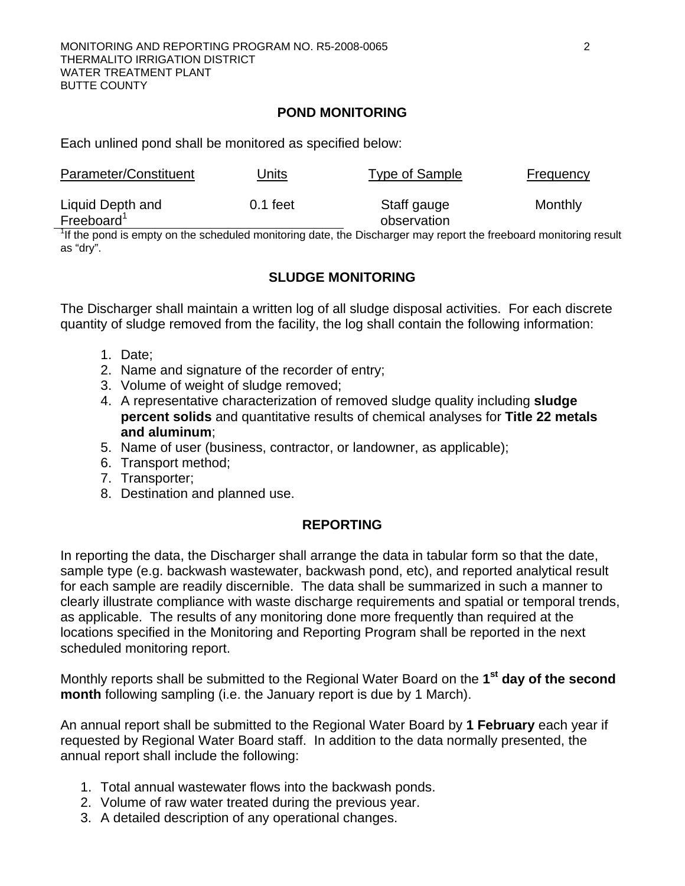### **POND MONITORING**

Each unlined pond shall be monitored as specified below:

| Parameter/Constituent                      | Units      | Type of Sample             | Frequency |
|--------------------------------------------|------------|----------------------------|-----------|
| Liquid Depth and<br>Freeboard <sup>1</sup> | $0.1$ feet | Staff gauge<br>observation | Monthly   |

 $1$ <sup>1</sup>If the pond is empty on the scheduled monitoring date, the Discharger may report the freeboard monitoring result as "dry".

# **SLUDGE MONITORING**

The Discharger shall maintain a written log of all sludge disposal activities. For each discrete quantity of sludge removed from the facility, the log shall contain the following information:

- 1. Date;
- 2. Name and signature of the recorder of entry;
- 3. Volume of weight of sludge removed;
- 4. A representative characterization of removed sludge quality including **sludge percent solids** and quantitative results of chemical analyses for **Title 22 metals and aluminum**;
- 5. Name of user (business, contractor, or landowner, as applicable);
- 6. Transport method;
- 7. Transporter;
- 8. Destination and planned use.

# **REPORTING**

In reporting the data, the Discharger shall arrange the data in tabular form so that the date, sample type (e.g. backwash wastewater, backwash pond, etc), and reported analytical result for each sample are readily discernible. The data shall be summarized in such a manner to clearly illustrate compliance with waste discharge requirements and spatial or temporal trends, as applicable. The results of any monitoring done more frequently than required at the locations specified in the Monitoring and Reporting Program shall be reported in the next scheduled monitoring report.

Monthly reports shall be submitted to the Regional Water Board on the **1st day of the second month** following sampling (i.e. the January report is due by 1 March).

An annual report shall be submitted to the Regional Water Board by **1 February** each year if requested by Regional Water Board staff. In addition to the data normally presented, the annual report shall include the following:

- 1. Total annual wastewater flows into the backwash ponds.
- 2. Volume of raw water treated during the previous year.
- 3. A detailed description of any operational changes.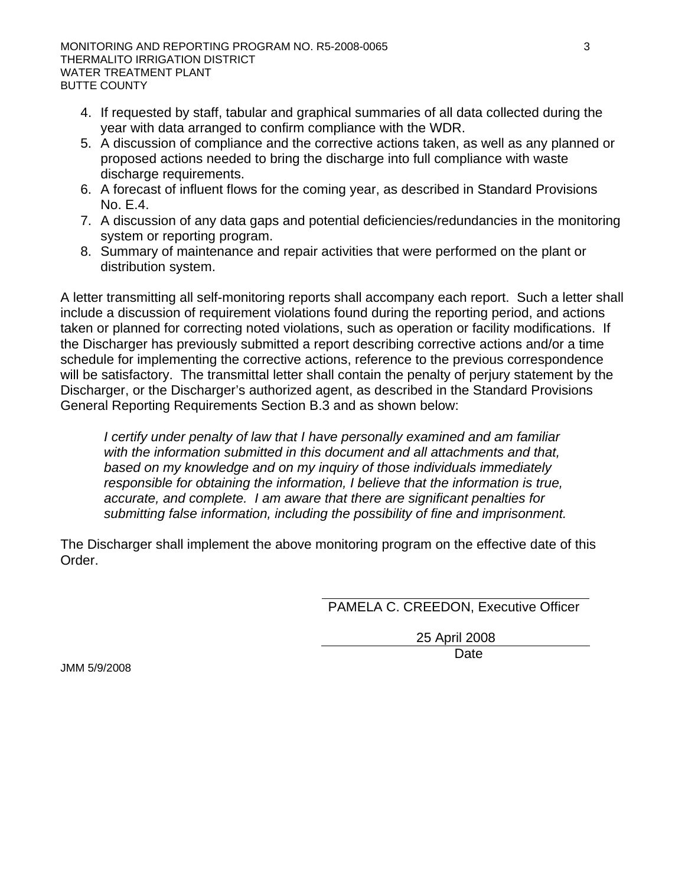- 4. If requested by staff, tabular and graphical summaries of all data collected during the year with data arranged to confirm compliance with the WDR.
- 5. A discussion of compliance and the corrective actions taken, as well as any planned or proposed actions needed to bring the discharge into full compliance with waste discharge requirements.
- 6. A forecast of influent flows for the coming year, as described in Standard Provisions No. E.4.
- 7. A discussion of any data gaps and potential deficiencies/redundancies in the monitoring system or reporting program.
- 8. Summary of maintenance and repair activities that were performed on the plant or distribution system.

A letter transmitting all self-monitoring reports shall accompany each report. Such a letter shall include a discussion of requirement violations found during the reporting period, and actions taken or planned for correcting noted violations, such as operation or facility modifications. If the Discharger has previously submitted a report describing corrective actions and/or a time schedule for implementing the corrective actions, reference to the previous correspondence will be satisfactory. The transmittal letter shall contain the penalty of perjury statement by the Discharger, or the Discharger's authorized agent, as described in the Standard Provisions General Reporting Requirements Section B.3 and as shown below:

*I certify under penalty of law that I have personally examined and am familiar with the information submitted in this document and all attachments and that, based on my knowledge and on my inquiry of those individuals immediately responsible for obtaining the information, I believe that the information is true, accurate, and complete. I am aware that there are significant penalties for submitting false information, including the possibility of fine and imprisonment.* 

The Discharger shall implement the above monitoring program on the effective date of this Order.

PAMELA C. CREEDON, Executive Officer

25 April 2008 **Date Date Date** 

JMM 5/9/2008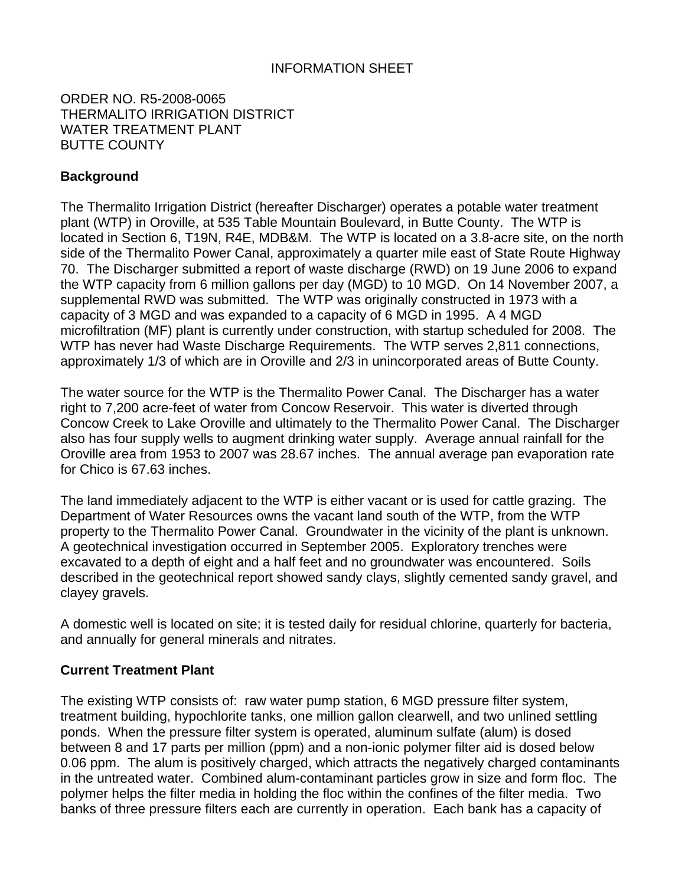# INFORMATION SHEET

ORDER NO. R5-2008-0065 THERMALITO IRRIGATION DISTRICT WATER TREATMENT PLANT BUTTE COUNTY

# **Background**

The Thermalito Irrigation District (hereafter Discharger) operates a potable water treatment plant (WTP) in Oroville, at 535 Table Mountain Boulevard, in Butte County. The WTP is located in Section 6, T19N, R4E, MDB&M. The WTP is located on a 3.8-acre site, on the north side of the Thermalito Power Canal, approximately a quarter mile east of State Route Highway 70. The Discharger submitted a report of waste discharge (RWD) on 19 June 2006 to expand the WTP capacity from 6 million gallons per day (MGD) to 10 MGD. On 14 November 2007, a supplemental RWD was submitted. The WTP was originally constructed in 1973 with a capacity of 3 MGD and was expanded to a capacity of 6 MGD in 1995. A 4 MGD microfiltration (MF) plant is currently under construction, with startup scheduled for 2008. The WTP has never had Waste Discharge Requirements. The WTP serves 2,811 connections, approximately 1/3 of which are in Oroville and 2/3 in unincorporated areas of Butte County.

The water source for the WTP is the Thermalito Power Canal. The Discharger has a water right to 7,200 acre-feet of water from Concow Reservoir. This water is diverted through Concow Creek to Lake Oroville and ultimately to the Thermalito Power Canal. The Discharger also has four supply wells to augment drinking water supply. Average annual rainfall for the Oroville area from 1953 to 2007 was 28.67 inches. The annual average pan evaporation rate for Chico is 67.63 inches.

The land immediately adjacent to the WTP is either vacant or is used for cattle grazing. The Department of Water Resources owns the vacant land south of the WTP, from the WTP property to the Thermalito Power Canal. Groundwater in the vicinity of the plant is unknown. A geotechnical investigation occurred in September 2005. Exploratory trenches were excavated to a depth of eight and a half feet and no groundwater was encountered. Soils described in the geotechnical report showed sandy clays, slightly cemented sandy gravel, and clayey gravels.

A domestic well is located on site; it is tested daily for residual chlorine, quarterly for bacteria, and annually for general minerals and nitrates.

### **Current Treatment Plant**

The existing WTP consists of: raw water pump station, 6 MGD pressure filter system, treatment building, hypochlorite tanks, one million gallon clearwell, and two unlined settling ponds. When the pressure filter system is operated, aluminum sulfate (alum) is dosed between 8 and 17 parts per million (ppm) and a non-ionic polymer filter aid is dosed below 0.06 ppm. The alum is positively charged, which attracts the negatively charged contaminants in the untreated water. Combined alum-contaminant particles grow in size and form floc. The polymer helps the filter media in holding the floc within the confines of the filter media. Two banks of three pressure filters each are currently in operation. Each bank has a capacity of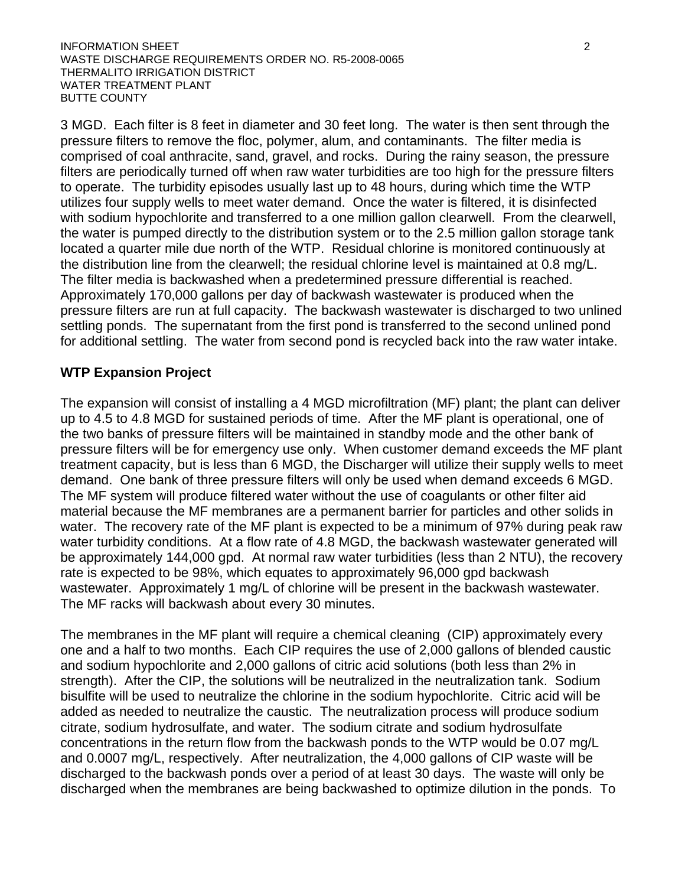INFORMATION SHEET 2 WASTE DISCHARGE REQUIREMENTS ORDER NO. R5-2008-0065 THERMALITO IRRIGATION DISTRICT WATER TREATMENT PLANT BUTTE COUNTY

3 MGD. Each filter is 8 feet in diameter and 30 feet long. The water is then sent through the pressure filters to remove the floc, polymer, alum, and contaminants. The filter media is comprised of coal anthracite, sand, gravel, and rocks. During the rainy season, the pressure filters are periodically turned off when raw water turbidities are too high for the pressure filters to operate. The turbidity episodes usually last up to 48 hours, during which time the WTP utilizes four supply wells to meet water demand. Once the water is filtered, it is disinfected with sodium hypochlorite and transferred to a one million gallon clearwell. From the clearwell, the water is pumped directly to the distribution system or to the 2.5 million gallon storage tank located a quarter mile due north of the WTP. Residual chlorine is monitored continuously at the distribution line from the clearwell; the residual chlorine level is maintained at 0.8 mg/L. The filter media is backwashed when a predetermined pressure differential is reached. Approximately 170,000 gallons per day of backwash wastewater is produced when the pressure filters are run at full capacity. The backwash wastewater is discharged to two unlined settling ponds. The supernatant from the first pond is transferred to the second unlined pond for additional settling. The water from second pond is recycled back into the raw water intake.

## **WTP Expansion Project**

The expansion will consist of installing a 4 MGD microfiltration (MF) plant; the plant can deliver up to 4.5 to 4.8 MGD for sustained periods of time. After the MF plant is operational, one of the two banks of pressure filters will be maintained in standby mode and the other bank of pressure filters will be for emergency use only. When customer demand exceeds the MF plant treatment capacity, but is less than 6 MGD, the Discharger will utilize their supply wells to meet demand. One bank of three pressure filters will only be used when demand exceeds 6 MGD. The MF system will produce filtered water without the use of coagulants or other filter aid material because the MF membranes are a permanent barrier for particles and other solids in water. The recovery rate of the MF plant is expected to be a minimum of 97% during peak raw water turbidity conditions. At a flow rate of 4.8 MGD, the backwash wastewater generated will be approximately 144,000 gpd. At normal raw water turbidities (less than 2 NTU), the recovery rate is expected to be 98%, which equates to approximately 96,000 gpd backwash wastewater. Approximately 1 mg/L of chlorine will be present in the backwash wastewater. The MF racks will backwash about every 30 minutes.

The membranes in the MF plant will require a chemical cleaning (CIP) approximately every one and a half to two months. Each CIP requires the use of 2,000 gallons of blended caustic and sodium hypochlorite and 2,000 gallons of citric acid solutions (both less than 2% in strength). After the CIP, the solutions will be neutralized in the neutralization tank. Sodium bisulfite will be used to neutralize the chlorine in the sodium hypochlorite. Citric acid will be added as needed to neutralize the caustic. The neutralization process will produce sodium citrate, sodium hydrosulfate, and water. The sodium citrate and sodium hydrosulfate concentrations in the return flow from the backwash ponds to the WTP would be 0.07 mg/L and 0.0007 mg/L, respectively. After neutralization, the 4,000 gallons of CIP waste will be discharged to the backwash ponds over a period of at least 30 days. The waste will only be discharged when the membranes are being backwashed to optimize dilution in the ponds. To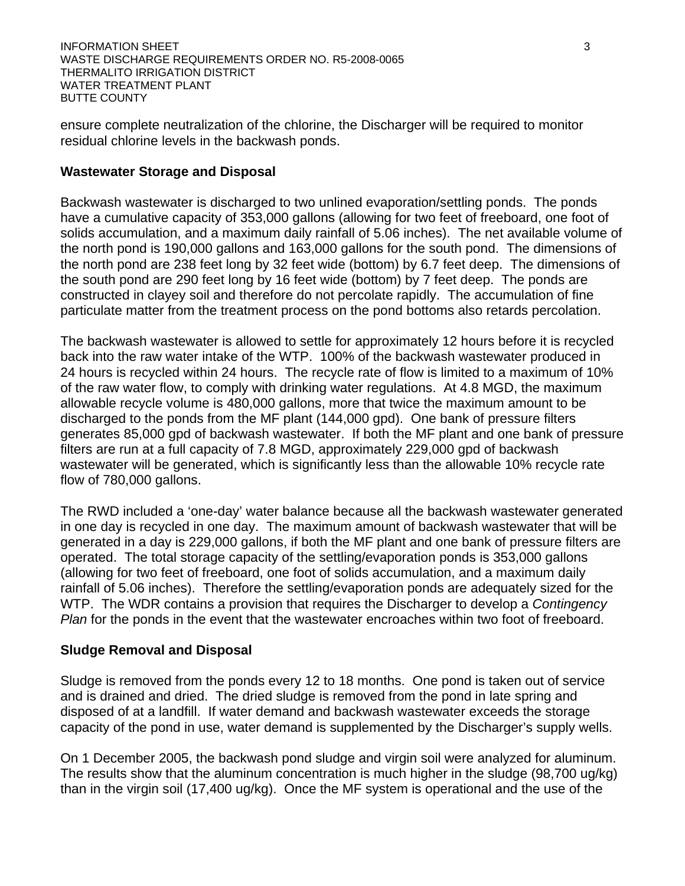ensure complete neutralization of the chlorine, the Discharger will be required to monitor residual chlorine levels in the backwash ponds.

### **Wastewater Storage and Disposal**

Backwash wastewater is discharged to two unlined evaporation/settling ponds. The ponds have a cumulative capacity of 353,000 gallons (allowing for two feet of freeboard, one foot of solids accumulation, and a maximum daily rainfall of 5.06 inches). The net available volume of the north pond is 190,000 gallons and 163,000 gallons for the south pond. The dimensions of the north pond are 238 feet long by 32 feet wide (bottom) by 6.7 feet deep. The dimensions of the south pond are 290 feet long by 16 feet wide (bottom) by 7 feet deep. The ponds are constructed in clayey soil and therefore do not percolate rapidly. The accumulation of fine particulate matter from the treatment process on the pond bottoms also retards percolation.

The backwash wastewater is allowed to settle for approximately 12 hours before it is recycled back into the raw water intake of the WTP. 100% of the backwash wastewater produced in 24 hours is recycled within 24 hours. The recycle rate of flow is limited to a maximum of 10% of the raw water flow, to comply with drinking water regulations. At 4.8 MGD, the maximum allowable recycle volume is 480,000 gallons, more that twice the maximum amount to be discharged to the ponds from the MF plant (144,000 gpd). One bank of pressure filters generates 85,000 gpd of backwash wastewater. If both the MF plant and one bank of pressure filters are run at a full capacity of 7.8 MGD, approximately 229,000 gpd of backwash wastewater will be generated, which is significantly less than the allowable 10% recycle rate flow of 780,000 gallons.

The RWD included a 'one-day' water balance because all the backwash wastewater generated in one day is recycled in one day. The maximum amount of backwash wastewater that will be generated in a day is 229,000 gallons, if both the MF plant and one bank of pressure filters are operated. The total storage capacity of the settling/evaporation ponds is 353,000 gallons (allowing for two feet of freeboard, one foot of solids accumulation, and a maximum daily rainfall of 5.06 inches). Therefore the settling/evaporation ponds are adequately sized for the WTP. The WDR contains a provision that requires the Discharger to develop a *Contingency Plan* for the ponds in the event that the wastewater encroaches within two foot of freeboard.

### **Sludge Removal and Disposal**

Sludge is removed from the ponds every 12 to 18 months. One pond is taken out of service and is drained and dried. The dried sludge is removed from the pond in late spring and disposed of at a landfill. If water demand and backwash wastewater exceeds the storage capacity of the pond in use, water demand is supplemented by the Discharger's supply wells.

On 1 December 2005, the backwash pond sludge and virgin soil were analyzed for aluminum. The results show that the aluminum concentration is much higher in the sludge (98,700 ug/kg) than in the virgin soil (17,400 ug/kg). Once the MF system is operational and the use of the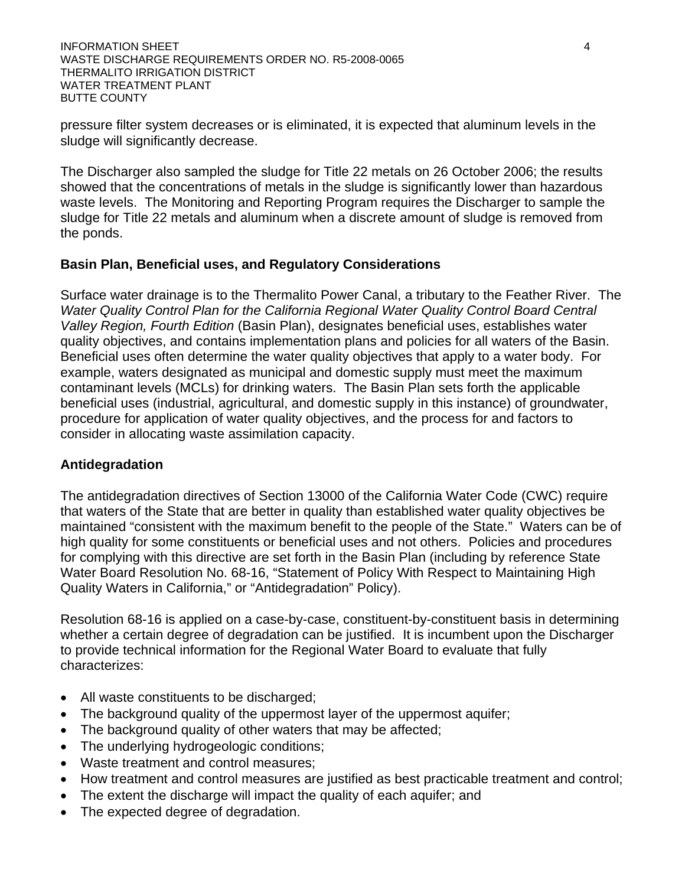pressure filter system decreases or is eliminated, it is expected that aluminum levels in the sludge will significantly decrease.

The Discharger also sampled the sludge for Title 22 metals on 26 October 2006; the results showed that the concentrations of metals in the sludge is significantly lower than hazardous waste levels. The Monitoring and Reporting Program requires the Discharger to sample the sludge for Title 22 metals and aluminum when a discrete amount of sludge is removed from the ponds.

# **Basin Plan, Beneficial uses, and Regulatory Considerations**

Surface water drainage is to the Thermalito Power Canal, a tributary to the Feather River. The *Water Quality Control Plan for the California Regional Water Quality Control Board Central Valley Region, Fourth Edition* (Basin Plan), designates beneficial uses, establishes water quality objectives, and contains implementation plans and policies for all waters of the Basin. Beneficial uses often determine the water quality objectives that apply to a water body. For example, waters designated as municipal and domestic supply must meet the maximum contaminant levels (MCLs) for drinking waters. The Basin Plan sets forth the applicable beneficial uses (industrial, agricultural, and domestic supply in this instance) of groundwater, procedure for application of water quality objectives, and the process for and factors to consider in allocating waste assimilation capacity.

### **Antidegradation**

The antidegradation directives of Section 13000 of the California Water Code (CWC) require that waters of the State that are better in quality than established water quality objectives be maintained "consistent with the maximum benefit to the people of the State." Waters can be of high quality for some constituents or beneficial uses and not others. Policies and procedures for complying with this directive are set forth in the Basin Plan (including by reference State Water Board Resolution No. 68-16, "Statement of Policy With Respect to Maintaining High Quality Waters in California," or "Antidegradation" Policy).

Resolution 68-16 is applied on a case-by-case, constituent-by-constituent basis in determining whether a certain degree of degradation can be justified. It is incumbent upon the Discharger to provide technical information for the Regional Water Board to evaluate that fully characterizes:

- All waste constituents to be discharged;
- The background quality of the uppermost layer of the uppermost aquifer;
- The background quality of other waters that may be affected;
- The underlying hydrogeologic conditions;
- Waste treatment and control measures;
- How treatment and control measures are justified as best practicable treatment and control;
- The extent the discharge will impact the quality of each aquifer; and
- The expected degree of degradation.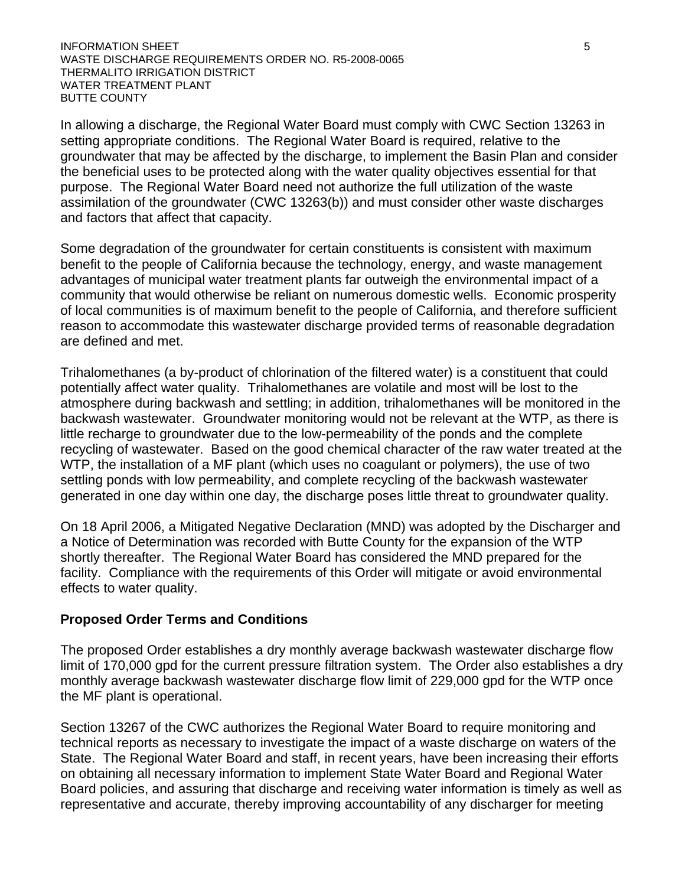### **INFORMATION SHEET** 5 WASTE DISCHARGE REQUIREMENTS ORDER NO. R5-2008-0065 THERMALITO IRRIGATION DISTRICT WATER TREATMENT PLANT BUTTE COUNTY

In allowing a discharge, the Regional Water Board must comply with CWC Section 13263 in setting appropriate conditions. The Regional Water Board is required, relative to the groundwater that may be affected by the discharge, to implement the Basin Plan and consider the beneficial uses to be protected along with the water quality objectives essential for that purpose. The Regional Water Board need not authorize the full utilization of the waste assimilation of the groundwater (CWC 13263(b)) and must consider other waste discharges and factors that affect that capacity.

Some degradation of the groundwater for certain constituents is consistent with maximum benefit to the people of California because the technology, energy, and waste management advantages of municipal water treatment plants far outweigh the environmental impact of a community that would otherwise be reliant on numerous domestic wells. Economic prosperity of local communities is of maximum benefit to the people of California, and therefore sufficient reason to accommodate this wastewater discharge provided terms of reasonable degradation are defined and met.

Trihalomethanes (a by-product of chlorination of the filtered water) is a constituent that could potentially affect water quality. Trihalomethanes are volatile and most will be lost to the atmosphere during backwash and settling; in addition, trihalomethanes will be monitored in the backwash wastewater. Groundwater monitoring would not be relevant at the WTP, as there is little recharge to groundwater due to the low-permeability of the ponds and the complete recycling of wastewater. Based on the good chemical character of the raw water treated at the WTP, the installation of a MF plant (which uses no coagulant or polymers), the use of two settling ponds with low permeability, and complete recycling of the backwash wastewater generated in one day within one day, the discharge poses little threat to groundwater quality.

On 18 April 2006, a Mitigated Negative Declaration (MND) was adopted by the Discharger and a Notice of Determination was recorded with Butte County for the expansion of the WTP shortly thereafter. The Regional Water Board has considered the MND prepared for the facility. Compliance with the requirements of this Order will mitigate or avoid environmental effects to water quality.

### **Proposed Order Terms and Conditions**

The proposed Order establishes a dry monthly average backwash wastewater discharge flow limit of 170,000 gpd for the current pressure filtration system. The Order also establishes a dry monthly average backwash wastewater discharge flow limit of 229,000 gpd for the WTP once the MF plant is operational.

Section 13267 of the CWC authorizes the Regional Water Board to require monitoring and technical reports as necessary to investigate the impact of a waste discharge on waters of the State. The Regional Water Board and staff, in recent years, have been increasing their efforts on obtaining all necessary information to implement State Water Board and Regional Water Board policies, and assuring that discharge and receiving water information is timely as well as representative and accurate, thereby improving accountability of any discharger for meeting